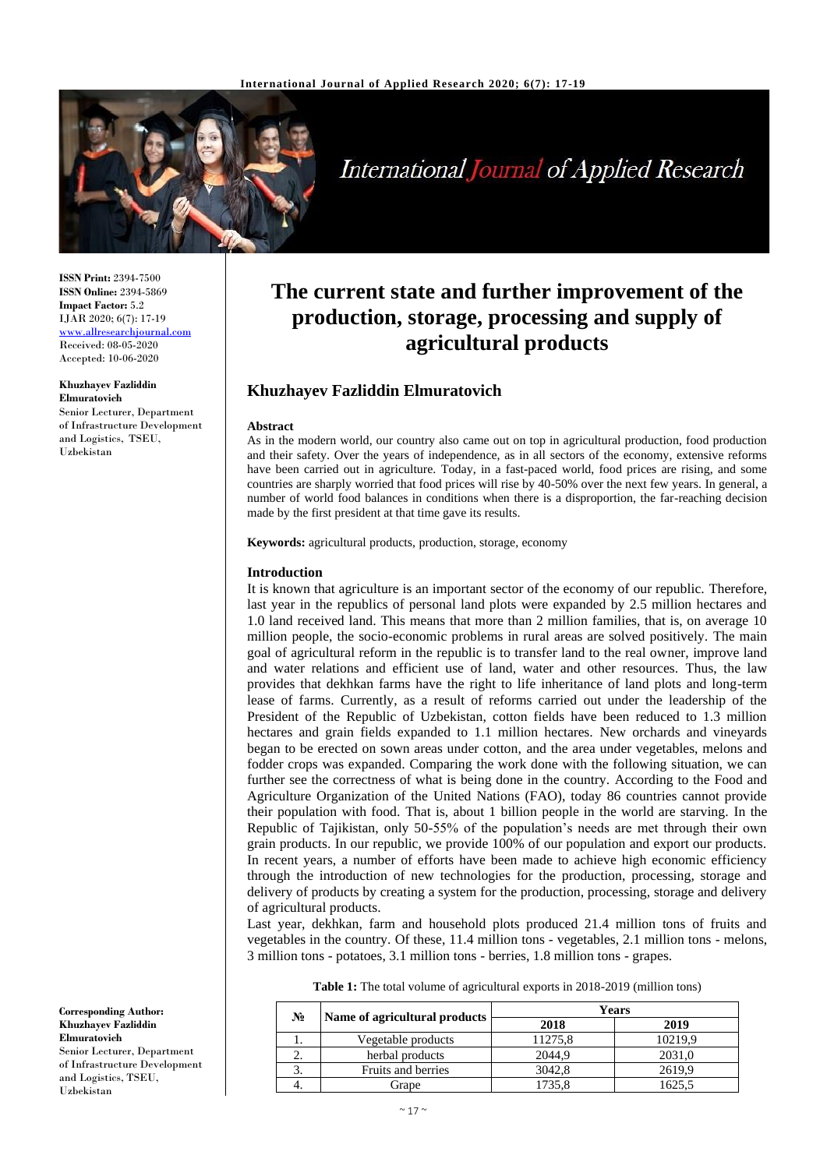

# **International Journal of Applied Research**

**ISSN Print:** 2394-7500 **ISSN Online:** 2394-5869 **Impact Factor:** 5.2 IJAR 2020; 6(7): 17-19 <www.allresearchjournal.com> Received: 08-05-2020 Accepted: 10-06-2020

#### **Khuzhayev Fazliddin Elmuratovich**

Senior Lecturer, Department of Infrastructure Development and Logistics, TSEU, Uzbekistan

**The current state and further improvement of the production, storage, processing and supply of agricultural products**

# **Khuzhayev Fazliddin Elmuratovich**

#### **Abstract**

As in the modern world, our country also came out on top in agricultural production, food production and their safety. Over the years of independence, as in all sectors of the economy, extensive reforms have been carried out in agriculture. Today, in a fast-paced world, food prices are rising, and some countries are sharply worried that food prices will rise by 40-50% over the next few years. In general, a number of world food balances in conditions when there is a disproportion, the far-reaching decision made by the first president at that time gave its results.

**Keywords:** agricultural products, production, storage, economy

#### **Introduction**

It is known that agriculture is an important sector of the economy of our republic. Therefore, last year in the republics of personal land plots were expanded by 2.5 million hectares and 1.0 land received land. This means that more than 2 million families, that is, on average 10 million people, the socio-economic problems in rural areas are solved positively. The main goal of agricultural reform in the republic is to transfer land to the real owner, improve land and water relations and efficient use of land, water and other resources. Thus, the law provides that dekhkan farms have the right to life inheritance of land plots and long-term lease of farms. Currently, as a result of reforms carried out under the leadership of the President of the Republic of Uzbekistan, cotton fields have been reduced to 1.3 million hectares and grain fields expanded to 1.1 million hectares. New orchards and vineyards began to be erected on sown areas under cotton, and the area under vegetables, melons and fodder crops was expanded. Comparing the work done with the following situation, we can further see the correctness of what is being done in the country. According to the Food and Agriculture Organization of the United Nations (FAO), today 86 countries cannot provide their population with food. That is, about 1 billion people in the world are starving. In the Republic of Tajikistan, only 50-55% of the population's needs are met through their own grain products. In our republic, we provide 100% of our population and export our products. In recent years, a number of efforts have been made to achieve high economic efficiency through the introduction of new technologies for the production, processing, storage and delivery of products by creating a system for the production, processing, storage and delivery of agricultural products.

Last year, dekhkan, farm and household plots produced 21.4 million tons of fruits and vegetables in the country. Of these, 11.4 million tons - vegetables, 2.1 million tons - melons, 3 million tons - potatoes, 3.1 million tons - berries, 1.8 million tons - grapes.

|  |  | Table 1: The total volume of agricultural exports in 2018-2019 (million tons) |  |  |
|--|--|-------------------------------------------------------------------------------|--|--|
|--|--|-------------------------------------------------------------------------------|--|--|

|  | N. | Name of agricultural products | Years   |         |  |
|--|----|-------------------------------|---------|---------|--|
|  |    |                               | 2018    | 2019    |  |
|  |    | Vegetable products            | 11275,8 | 10219.9 |  |
|  | ٠. | herbal products               | 2044.9  | 2031.0  |  |
|  | 3. | Fruits and berries            | 3042.8  | 2619.9  |  |
|  |    | irape                         | 1735.8  | 1625.5  |  |

**Corresponding Author: Khuzhayev Fazliddin Elmuratovich** Senior Lecturer, Department of Infrastructure Development and Logistics, TSEU, Uzbekistan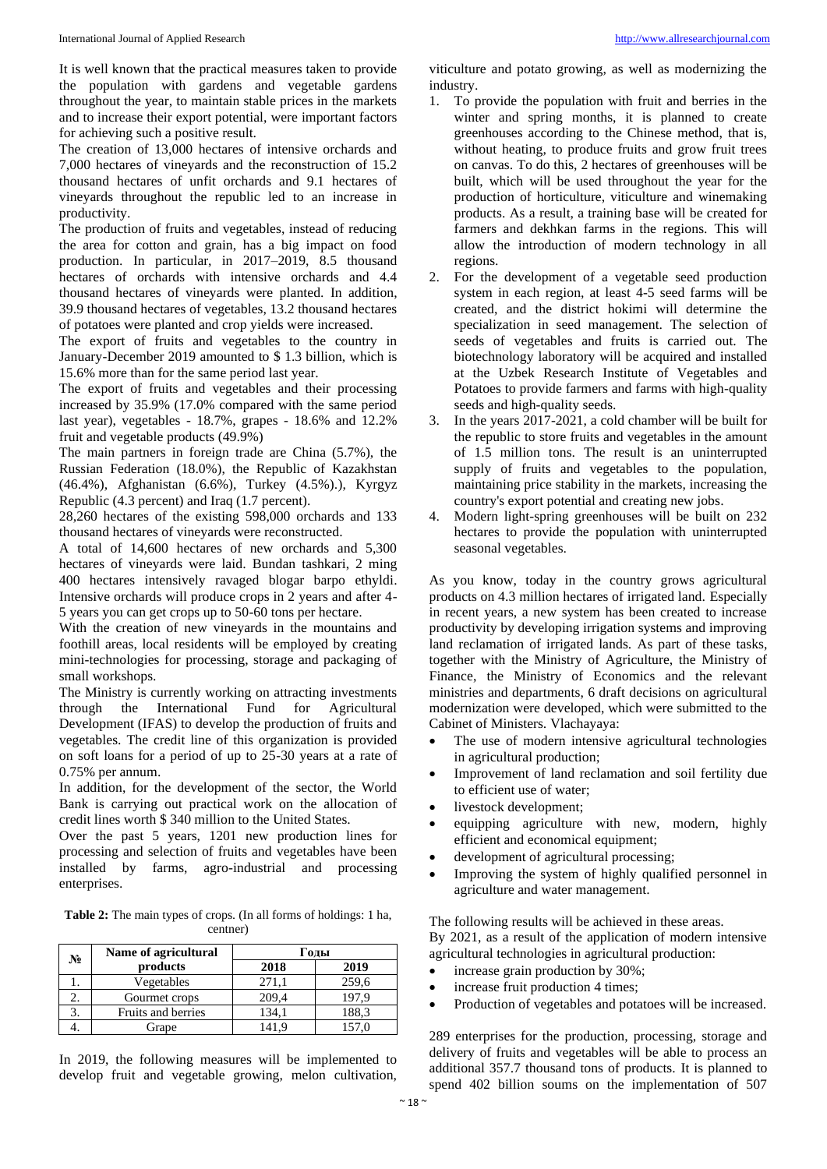It is well known that the practical measures taken to provide the population with gardens and vegetable gardens throughout the year, to maintain stable prices in the markets and to increase their export potential, were important factors for achieving such a positive result.

The creation of 13,000 hectares of intensive orchards and 7,000 hectares of vineyards and the reconstruction of 15.2 thousand hectares of unfit orchards and 9.1 hectares of vineyards throughout the republic led to an increase in productivity.

The production of fruits and vegetables, instead of reducing the area for cotton and grain, has a big impact on food production. In particular, in 2017–2019, 8.5 thousand hectares of orchards with intensive orchards and 4.4 thousand hectares of vineyards were planted. In addition, 39.9 thousand hectares of vegetables, 13.2 thousand hectares of potatoes were planted and crop yields were increased.

The export of fruits and vegetables to the country in January-December 2019 amounted to \$ 1.3 billion, which is 15.6% more than for the same period last year.

The export of fruits and vegetables and their processing increased by 35.9% (17.0% compared with the same period last year), vegetables - 18.7%, grapes - 18.6% and 12.2% fruit and vegetable products (49.9%)

The main partners in foreign trade are China (5.7%), the Russian Federation (18.0%), the Republic of Kazakhstan (46.4%), Afghanistan (6.6%), Turkey (4.5%).), Kyrgyz Republic (4.3 percent) and Iraq (1.7 percent).

28,260 hectares of the existing 598,000 orchards and 133 thousand hectares of vineyards were reconstructed.

A total of 14,600 hectares of new orchards and 5,300 hectares of vineyards were laid. Bundan tashkari, 2 ming 400 hectares intensively ravaged blogar barpo ethyldi. Intensive orchards will produce crops in 2 years and after 4- 5 years you can get crops up to 50-60 tons per hectare.

With the creation of new vineyards in the mountains and foothill areas, local residents will be employed by creating mini-technologies for processing, storage and packaging of small workshops.

The Ministry is currently working on attracting investments through the International Fund for Agricultural Development (IFAS) to develop the production of fruits and vegetables. The credit line of this organization is provided on soft loans for a period of up to 25-30 years at a rate of 0.75% per annum.

In addition, for the development of the sector, the World Bank is carrying out practical work on the allocation of credit lines worth \$ 340 million to the United States.

Over the past 5 years, 1201 new production lines for processing and selection of fruits and vegetables have been installed by farms, agro-industrial and processing enterprises.

**Table 2:** The main types of crops. (In all forms of holdings: 1 ha, centner)

|    | Name of agricultural | Годы  |       |  |
|----|----------------------|-------|-------|--|
| N° | products             | 2018  | 2019  |  |
|    | Vegetables           | 271,1 | 259,6 |  |
|    | Gourmet crops        | 209,4 | 197.9 |  |
|    | Fruits and berries   | 134.1 | 188,3 |  |
|    | Grape                | 1419  | 157.0 |  |

In 2019, the following measures will be implemented to develop fruit and vegetable growing, melon cultivation,

viticulture and potato growing, as well as modernizing the industry.

- 1. To provide the population with fruit and berries in the winter and spring months, it is planned to create greenhouses according to the Chinese method, that is, without heating, to produce fruits and grow fruit trees on canvas. To do this, 2 hectares of greenhouses will be built, which will be used throughout the year for the production of horticulture, viticulture and winemaking products. As a result, a training base will be created for farmers and dekhkan farms in the regions. This will allow the introduction of modern technology in all regions.
- 2. For the development of a vegetable seed production system in each region, at least 4-5 seed farms will be created, and the district hokimi will determine the specialization in seed management. The selection of seeds of vegetables and fruits is carried out. The biotechnology laboratory will be acquired and installed at the Uzbek Research Institute of Vegetables and Potatoes to provide farmers and farms with high-quality seeds and high-quality seeds.
- 3. In the years 2017-2021, a cold chamber will be built for the republic to store fruits and vegetables in the amount of 1.5 million tons. The result is an uninterrupted supply of fruits and vegetables to the population, maintaining price stability in the markets, increasing the country's export potential and creating new jobs.
- 4. Modern light-spring greenhouses will be built on 232 hectares to provide the population with uninterrupted seasonal vegetables.

As you know, today in the country grows agricultural products on 4.3 million hectares of irrigated land. Especially in recent years, a new system has been created to increase productivity by developing irrigation systems and improving land reclamation of irrigated lands. As part of these tasks, together with the Ministry of Agriculture, the Ministry of Finance, the Ministry of Economics and the relevant ministries and departments, 6 draft decisions on agricultural modernization were developed, which were submitted to the Cabinet of Ministers. Vlachayaya:

- The use of modern intensive agricultural technologies in agricultural production;
- Improvement of land reclamation and soil fertility due to efficient use of water;
- livestock development;
- equipping agriculture with new, modern, highly efficient and economical equipment;
- development of agricultural processing;
- Improving the system of highly qualified personnel in agriculture and water management.

The following results will be achieved in these areas. By 2021, as a result of the application of modern intensive agricultural technologies in agricultural production:

- increase grain production by 30%;
- increase fruit production 4 times;
- Production of vegetables and potatoes will be increased.

289 enterprises for the production, processing, storage and delivery of fruits and vegetables will be able to process an additional 357.7 thousand tons of products. It is planned to spend 402 billion soums on the implementation of 507